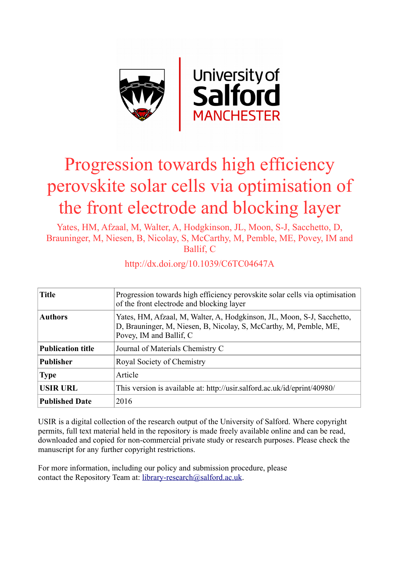

# Progression towards high efficiency perovskite solar cells via optimisation of the front electrode and blocking layer

Yates, HM, Afzaal, M, Walter, A, Hodgkinson, JL, Moon, S-J, Sacchetto, D, Brauninger, M, Niesen, B, Nicolay, S, McCarthy, M, Pemble, ME, Povey, IM and Ballif, C

## http://dx.doi.org/10.1039/C6TC04647A

| <b>Title</b>             | Progression towards high efficiency perovskite solar cells via optimisation<br>of the front electrode and blocking layer                                               |
|--------------------------|------------------------------------------------------------------------------------------------------------------------------------------------------------------------|
| <b>Authors</b>           | Yates, HM, Afzaal, M, Walter, A, Hodgkinson, JL, Moon, S-J, Sacchetto,<br>D, Brauninger, M, Niesen, B, Nicolay, S, McCarthy, M, Pemble, ME,<br>Povey, IM and Ballif, C |
| <b>Publication title</b> | Journal of Materials Chemistry C                                                                                                                                       |
| <b>Publisher</b>         | Royal Society of Chemistry                                                                                                                                             |
| <b>Type</b>              | Article                                                                                                                                                                |
| <b>USIR URL</b>          | This version is available at: http://usir.salford.ac.uk/id/eprint/40980/                                                                                               |
| <b>Published Date</b>    | 2016                                                                                                                                                                   |

USIR is a digital collection of the research output of the University of Salford. Where copyright permits, full text material held in the repository is made freely available online and can be read, downloaded and copied for non-commercial private study or research purposes. Please check the manuscript for any further copyright restrictions.

For more information, including our policy and submission procedure, please contact the Repository Team at: [library-research@salford.ac.uk.](mailto:library-research@salford.ac.uk)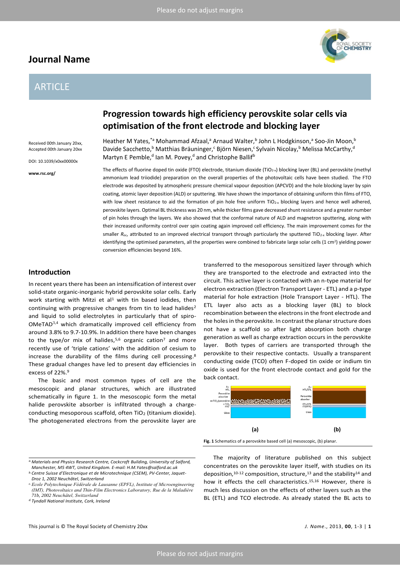### **Journal Name**

## ARTICLE

Received 00th January 20xx, Accepted 00th January 20xx

DOI: 10.1039/x0xx00000x

**www.rsc.org/**

## **Progression towards high efficiency perovskite solar cells via optimisation of the front electrode and blocking layer**

Heather M Yates,<sup>\*a</sup> Mohammad Afzaal,<sup>a</sup> Arnaud Walter,<sup>b</sup> John L Hodgkinson,<sup>a</sup> Soo-Jin Moon,<sup>b</sup> Davide Sacchetto,<sup>b</sup> Matthias Bräuninger,<sup>c</sup> Björn Niesen,<sup>c</sup> Sylvain Nicolay,<sup>b</sup> Melissa McCarthy,<sup>d</sup> Martyn E Pemble,<sup>d</sup> Ian M. Povey,<sup>d</sup> and Christophe Ballif<sup>b</sup>

The effects of fluorine doped tin oxide (FTO) electrode, titanium dioxide (TiO<sub>2-x</sub>) blocking layer (BL) and perovskite (methyl ammonium lead triiodide) preparation on the overall properties of the photovoltaic cells have been studied. The FTO electrode was deposited by atmospheric pressure chemical vapour deposition (APCVD) and the hole blocking layer by spin coating, atomic layer deposition (ALD) or sputtering. We have shown the importance of obtaining uniform thin films of FTO, with low sheet resistance to aid the formation of pin hole free uniform TiO<sub>2x</sub> blocking layers and hence well adhered, perovskite layers. Optimal BL thickness was 20 nm, while thicker films gave decreased shunt resistance and a greater number of pin holes through the layers. We also showed that the conformal nature of ALD and magnetron sputtering, along with their increased uniformity control over spin coating again improved cell efficiency. The main improvement comes for the smaller *Roc*, attributed to an improved electrical transport through particularly the sputtered TiO2-x blocking layer. After identifying the optimised parameters, all the properties were combined to fabricate large solar cells (1 cm<sup>2</sup>) yielding power conversion efficiencies beyond 16%.

### **Introduction**

In recent years there has been an intensification of interest over solid-state organic-inorganic hybrid perovskite solar cells. Early work starting with Mitzi et al<sup>1</sup> with tin based iodides, then continuing with progressive changes from tin to lead halides<sup>2</sup> and liquid to solid electrolytes in particularly that of spiro-OMeTAD3,4 which dramatically improved cell efficiency from around 3.8% to 9.7-10.9%. In addition there have been changes to the type/or mix of halides, $5,6$  organic cation<sup>7</sup> and more recently use of 'triple cations' with the addition of cesium to increase the durability of the films during cell processing. 8 These gradual changes have led to present day efficiencies in excess of 22%. 9

The basic and most common types of cell are the mesoscopic and planar structures, which are illustrated schematically in figure 1. In the mesoscopic form the metal halide perovskite absorber is infiltrated through a chargeconducting mesoporous scaffold, often TiO<sub>2</sub> (titanium dioxide). The photogenerated electrons from the perovskite layer are

transferred to the mesoporous sensitized layer through which they are transported to the electrode and extracted into the circuit. This active layer is contacted with an n-type material for electron extraction (Electron Transport Layer - ETL) and a p-type material for hole extraction (Hole Transport Layer - HTL). The ETL layer also acts as a blocking layer (BL) to block recombination between the electrons in the front electrode and the holes in the perovskite. In contrast the planar structure does not have a scaffold so after light absorption both charge generation as well as charge extraction occurs in the perovskite layer. Both types of carriers are transported through the perovskite to their respective contacts. Usually a transparent conducting oxide (TCO) often F-doped tin oxide or indium tin oxide is used for the front electrode contact and gold for the back contact.



**Fig. 1** Schematics of a perovskite based cell (a) mesoscopic, (b) planar.

The majority of literature published on this subject



*a.Materials and Physics Research Centre, Cockcroft Building, University of Salford, Manchester, M5 4WT, United Kingdom. E-mail: H.M.Yates@salford.ac.uk*

*b.Centre Suisse d'Electronique et de Microtechnique (CSEM), PV-Center, Jaquet-Droz 1, 2002 Neuchâtel, Switzerland*

*c.Ecole Polytechnique Fédérale de Lausanne (EPFL), Institute of Microengineering (IMT), Photovoltaics and Thin-Film Electronics Laboratory, Rue de la Maladière 71b, 2002 Neuchâtel, Switzerland*

*d.Tyndall National Institute, Cork, Ireland*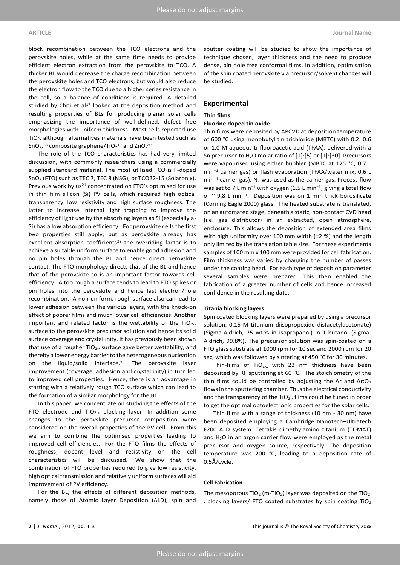block recombination between the TCO electrons and the perovskite holes, while at the same time needs to provide efficient electron extraction from the perovskite to TCO. A thicker BL would decrease the charge recombination between the perovskite holes and TCO electrons, but would also reduce the electron flow to the TCO due to a higher series resistance in the cell, so a balance of conditions is required. A detailed studied by Choi et al<sup>17</sup> looked at the deposition method and resulting properties of BLs for producing planar solar cells emphasizing the importance of well-defined, defect free morphologies with uniform thickness. Most cells reported use TiO2, although alternatives materials have been tested such as SnO<sub>2</sub>,<sup>18</sup> composite graphene/TiO<sub>2</sub><sup>19</sup> and ZnO.<sup>20</sup>

The role of the TCO characteristics has had very limited discussion, with commonly researchers using a commercially supplied standard material. The most utilised TCO is F-doped SnO<sup>2</sup> (FTO) such as TEC 7, TEC 8 (NSG), or TCO22-15 (Solaronix). Previous work by us<sup>21</sup> concentrated on FTO's optimised for use in thin film silicon (Si) PV cells, which required high optical transparency, low resistivity and high surface roughness. The latter to increase internal light trapping to improve the efficiency of light use by the absorbing layers as Si (especially a-Si) has a low absorption efficiency. For perovskite cells the first two properties still apply, but as perovskite already has excellent absorption coefficients<sup>22</sup> the overriding factor is to achieve a suitable uniform surface to enable good adhesion and no pin holes through the BL and hence direct perovskite contact. The FTO morphology directs that of the BL and hence that of the perovskite so is an important factor towards cell efficiency. A too rough a surface tends to lead to FTO spikes or pin holes into the perovskite and hence fast electron/hole recombination. A non-uniform, rough surface also can lead to lower adhesion between the various layers, with the knock-on effect of poorer films and much lower cell efficiencies. Another important and related factor is the wettability of the  $TiO<sub>2-x</sub>$ surface to the perovskite precursor solution and hence its solid surface coverage and crystallinity. It has previously been shown that use of a rougher  $TiO_{2-x}$  surface gave better wettability, and thereby a lower energy barrier to the heterogeneous nucleation on the liquid/solid interface. <sup>23</sup> The perovskite layer improvement (coverage, adhesion and crystallinity) in turn led to improved cell properties. Hence, there is an advantage in starting with a relatively rough TCO surface which can lead to the formation of a similar morphology for the BL.

In this paper, we concentrate on studying the effects of the FTO electrode and  $TiO<sub>2-x</sub>$  blocking layer. In addition some changes to the perovskite precursor composition were considered on the overall properties of the PV cell. From this we aim to combine the optimised properties leading to improved cell efficiencies. For the FTO films the effects of roughness, dopant level and resistivity on the cell characteristics will be discussed. We show that the combination of FTO properties required to give low resistivity, high optical transmission and relatively uniform surfaces will aid improvement of PV efficiency.

For the BL, the effects of different deposition methods, namely those of Atomic Layer Deposition (ALD), spin and sputter coating will be studied to show the importance of technique chosen, layer thickness and the need to produce dense, pin hole free conformal films. In addition, optimisation of the spin coated perovskite via precursor/solvent changes will be studied.

#### **Experimental**

#### **Thin films**

#### **Fluorine doped tin oxide**

Thin films were deposited by APCVD at deposition temperature of 600 °C using monobutyl tin trichloride (MBTC) with 0.2, 0.6 or 1.0 M aqueous trifluoroacetic acid (TFAA), delivered with a Sn precursor to  $H_2O$  molar ratio of  $[1]:[5]$  or  $[1]:[30]$ . Precursors were vapourised using either bubbler (MBTC at 125 °C, 0.7 L min<sup>−</sup><sup>1</sup> carrier gas) or flash evaporation (TFAA/water mix, 0.6 L min<sup>−</sup><sup>1</sup> carrier gas). N<sup>2</sup> was used as the carrier gas. Process flow was set to 7 L min<sup>-1</sup> with oxygen (1.5 L min<sup>-1</sup>) giving a total flow of ~ 9.8 L min<sup>−</sup><sup>1</sup> . Deposition was on 1 mm thick borosilicate (Corning Eagle 2000) glass. The heated substrate is translated, on an automated stage, beneath a static, non-contact CVD head (i.e. gas distributor) in an extracted, open atmosphere, enclosure. This allows the deposition of extended area films with high uniformity over 100 mm width (±2 %) and the length only limited by the translation table size. For these experiments samples of 100 mm x 100 mm were provided for cell fabrication. Film thickness was varied by changing the number of passes under the coating head. For each type of deposition parameter several samples were prepared. This then enabled the fabrication of a greater number of cells and hence increased confidence in the resulting data.

#### **Titania blocking layers**

Spin coated blocking layers were prepared by using a precursor solution, 0.15 M titanium diisopropoxide dis(acetylacetonate) (Sigma-Aldrich, 75 wt.% in isopropanol) in 1-butanol (Sigma-Aldrich, 99.8%). The precursor solution was spin-coated on a FTO glass substrate at 1000 rpm for 10 sec and 2000 rpm for 20 sec, which was followed by sintering at 450 °C for 30 minutes.

Thin-films of  $TiO<sub>2-x</sub>$  with 23 nm thickness have been deposited by RF sputtering at 60 °C. The stoichiometry of the thin films could be controlled by adjusting the Ar and  $Ar:O<sub>2</sub>$ flows in the sputtering chamber. Thus the electrical conductivity and the transparency of the TiO $_{2-x}$  films could be tuned in order to get the optimal optoelectronic properties for the solar cells.

Thin films with a range of thickness (10 nm - 30 nm) have been deposited employing a Cambridge Nanotech–Ultratech F200 ALD system. Tetrakis dimethylamino titanium (TDMAT) and  $H_2O$  in an argon carrier flow were employed as the metal precursor and oxygen source, respectively. The deposition temperature was 200 °C, leading to a deposition rate of 0.5Å/cycle.

#### **Cell Fabrication**

The mesoporous TiO<sub>2</sub> (m-TiO<sub>2</sub>) layer was deposited on the TiO<sub>2-</sub>  $x$  blocking layers/ FTO coated substrates by spin coating TiO<sub>2</sub>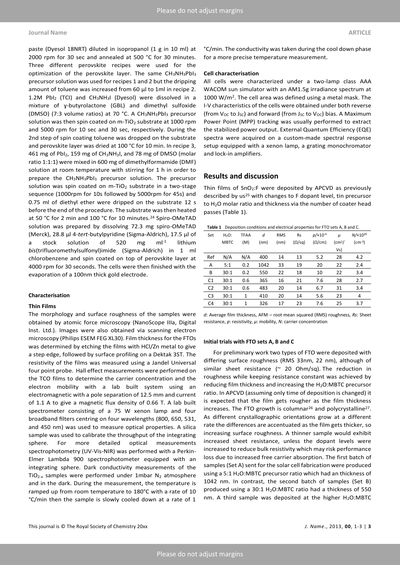#### **Journal Name ARTICLE**

paste (Dyesol 18NRT) diluted in isopropanol (1 g in 10 ml) at 2000 rpm for 30 sec and annealed at 500 °C for 30 minutes. Three different perovskite recipes were used for the optimization of the perovskite layer. The same  $CH_3NH_3Pbl_3$ precursor solution was used for recipes 1 and 2 but the dripping amount of toluene was increased from 60 µl to 1ml in recipe 2. 1.2M PbI<sup>2</sup> (TCI) and CH3NH3I (Dyesol) were dissolved in a mixture of ɣ-butyrolactone (GBL) and dimethyl sulfoxide (DMSO) (7:3 volume ratios) at 70 °C. A CH3NH3PbI<sup>3</sup> precursor solution was then spin coated on m-TiO<sub>2</sub> substrate at 1000 rpm and 5000 rpm for 10 sec and 30 sec, respectively. During the 2nd step of spin coating toluene was dropped on the substrate and perovskite layer was dried at 100 °C for 10 min. In recipe 3, 461 mg of PbI2, 159 mg of CH3NH3I, and 78 mg of DMSO (molar ratio 1:1:1) were mixed in 600 mg of dimethylformamide (DMF) solution at room temperature with stirring for 1 h in order to prepare the CH3NH3PbI<sup>3</sup> precursor solution. The precursor solution was spin coated on m-TiO<sub>2</sub> substrate in a two-stage sequence (1000rpm for 10s followed by 5000rpm for 45s) and 0.75 ml of diethyl ether were dripped on the substrate 12 s before the end of the procedure. The substrate was then heated at 50 °C for 2 min and 100 °C for 10 minutes.<sup>24</sup> Spiro-OMeTAD solution was prepared by dissolving 72.3 mg spiro-OMeTAD (Merck), 28.8 µl 4-*tert*-butylpyridine (Sigma-Aldrich), 17.5 µl of a stock solution of 520 mg ml<sup>-1</sup> lithium *bis*(trifluoromethylsulfonyl)imide (Sigma-Aldrich) in 1 ml chlorobenzene and spin coated on top of perovskite layer at 4000 rpm for 30 seconds. The cells were then finished with the evaporation of a 100nm thick gold electrode.

#### **Characterisation**

#### **Thin Films**

The morphology and surface roughness of the samples were obtained by atomic force microscopy (NanoScope IIIa, Digital Inst. Ltd.). Images were also obtained via scanning electron microscopy (Philips ESEM FEG XL30). Film thickness for the FTOs was determined by etching the films with HCl/Zn metal to give a step edge, followed by surface profiling on a Dektak 3ST. The resistivity of the films was measured using a Jandel Universal four point probe. Hall effect measurements were performed on the TCO films to determine the carrier concentration and the electron mobility with a lab built system using an electromagnetic with a pole separation of 12.5 mm and current of 1.1 A to give a magnetic flux density of 0.66 T. A lab built spectrometer consisting of a 75 W xenon lamp and four broadband filters centring on four wavelengths (800, 650, 531, and 450 nm) was used to measure optical properties. A silica sample was used to calibrate the throughput of the integrating sphere. For more detailed optical measurements spectrophotometry (UV-Vis-NIR) was performed with a Perkin-Elmer Lambda 900 spectrophotometer equipped with an integrating sphere. Dark conductivity measurements of the  $TiO<sub>2-x</sub>$  samples were performed under 1mbar  $N_2$  atmosphere and in the dark. During the measurement, the temperature is ramped up from room temperature to 180°C with a rate of 10 °C/min then the sample is slowly cooled down at a rate of 1

°C/min. The conductivity was taken during the cool down phase for a more precise temperature measurement.

#### **Cell characterisation**

All cells were characterized under a two-lamp class AAA WACOM sun simulator with an AM1.5g irradiance spectrum at 1000 W/m<sup>2</sup> . The cell area was defined using a metal mask. The I-V characteristics of the cells were obtained under both reverse (from  $V_{OC}$  to J<sub>SC</sub>) and forward (from J<sub>SC</sub> to  $V_{OC}$ ) bias. A Maximum Power Point (MPP) tracking was usually performed to extract the stabilized power output. External Quantum Efficiency (EQE) spectra were acquired on a custom-made spectral response setup equipped with a xenon lamp, a grating monochromator and lock-in amplifiers.

### **Results and discussion**

Thin films of SnO2:F were deposited by APCVD as previously described by us<sup>25</sup> with changes to F dopant level, tin precursor to H<sub>2</sub>O molar ratio and thickness via the number of coater head passes (Table 1).

| Deposition conditions and electrical properties for FTO sets A, B and C.<br>Table 1 |             |             |      |            |               |                          |                 |          |  |
|-------------------------------------------------------------------------------------|-------------|-------------|------|------------|---------------|--------------------------|-----------------|----------|--|
| Set                                                                                 | $H2O$ :     | <b>TFAA</b> | d    | <b>RMS</b> | <b>Rs</b>     | $p / x 10^{-4}$<br>$\mu$ |                 |          |  |
|                                                                                     | <b>MBTC</b> | (M)         | (nm) | (nm)       | $(\Omega/sq)$ | $(\Omega/cm)$            | $\text{cm}^2$ / | $(cm-3)$ |  |
| Vs)                                                                                 |             |             |      |            |               |                          |                 |          |  |
| Ref                                                                                 | N/A         | N/A         | 400  | 14         | 13            | 5.2                      | 28              | 4.2      |  |
| Α                                                                                   | 5:1         | 0.2         | 1042 | 33         | 19            | 20                       | 22              | 2.4      |  |
| В                                                                                   | 30:1        | 0.2         | 550  | 22         | 18            | 10                       | 22              | 3.4      |  |
| C <sub>1</sub>                                                                      | 30:1        | 0.6         | 365  | 16         | 21            | 7.6                      | 28              | 2.7      |  |
| C <sub>2</sub>                                                                      | 30:1        | 0.6         | 483  | 20         | 14            | 6.7                      | 31              | 3.4      |  |
| C <sub>3</sub>                                                                      | 30:1        | 1           | 410  | 20         | 14            | 5.6                      | 23              | 4        |  |

*d*: Average film thickness, AFM – root mean squared (RMS) roughness, *Rs*: Sheet resistance, *p*: resistivity, *µ*: mobility, *N*: carrier concentration

C4 30:1 1 326 17 23 7.6 25 3.7

#### **Initial trials with FTO sets A, B and C**

For preliminary work two types of FTO were deposited with differing surface roughness (RMS 33nm, 22 nm), although of similar sheet resistance ( $\approx$  20 Ohm/sq). The reduction in roughness while keeping resistance constant was achieved by reducing film thickness and increasing the H<sub>2</sub>O:MBTC precursor ratio. In APCVD (assuming only time of deposition is changed) it is expected that the film gets rougher as the film thickness increases. The FTO growth is columnar<sup>26</sup> and polycrystalline<sup>27</sup>. As different crystallographic orientations grow at a different rate the differences are accentuated as the film gets thicker, so increasing surface roughness. A thinner sample would exhibit increased sheet resistance, unless the dopant levels were increased to reduce bulk resistivity which may risk performance loss due to increased free carrier absorption. The first batch of samples (Set A) sent for the solar cell fabrication were produced using a 5:1 H<sub>2</sub>O:MBTC precursor ratio which had an thickness of 1042 nm. In contrast, the second batch of samples (Set B) produced using a 30:1 H2O:MBTC ratio had a thickness of 550 nm. A third sample was deposited at the higher H<sub>2</sub>O:MBTC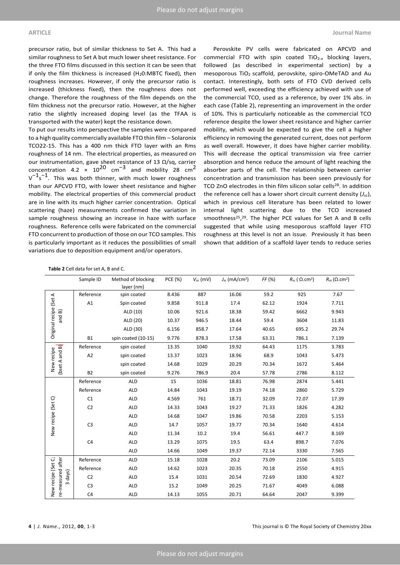precursor ratio, but of similar thickness to Set A. This had a similar roughness to Set A but much lower sheet resistance. For the three FTO films discussed in this section it can be seen that if only the film thickness is increased  $(H<sub>2</sub>O:MBTC$  fixed), then roughness increases. However, if only the precursor ratio is increased (thickness fixed), then the roughness does not change. Therefore the roughness of the film depends on the film thickness not the precursor ratio. However, at the higher ratio the slightly increased doping level (as the TFAA is transported with the water) kept the resistance down.

To put our results into perspective the samples were compared to a high quality commercially available FTO thin film – Solaronix TCO22-15. This has a 400 nm thick FTO layer with an Rms roughness of 14 nm. The electrical properties, as measured on our instrumentation, gave sheet resistance of 13 Ω/sq, carrier concentration 4.2  $\times$  10<sup>20</sup> cm<sup>-3</sup> and mobility 28 cm<sup>2</sup>  $V^{-1}s^{-1}$ . This was both thinner, with much lower roughness than our APCVD FTO, with lower sheet resistance and higher mobility. The electrical properties of this commercial product are in line with its much higher carrier concentration. Optical scattering (haze) measurements confirmed the variation in sample roughness showing an increase in haze with surface roughness. Reference cells were fabricated on the commercial FTO concurrent to production of those on our TCO samples. This is particularly important as it reduces the possibilities of small variations due to deposition equipment and/or operators.

Perovskite PV cells were fabricated on APCVD and commercial FTO with spin coated TiO2-x blocking layers, followed (as described in experimental section) by a mesoporous TiO<sub>2</sub> scaffold, perovskite, spiro-OMeTAD and Au contact. Interestingly, both sets of FTO CVD derived cells performed well, exceeding the efficiency achieved with use of the commercial TCO, used as a reference, by over 1% abs. in each case (Table 2), representing an improvement in the order of 10%. This is particularly noticeable as the commercial TCO reference despite the lower sheet resistance and higher carrier mobility, which would be expected to give the cell a higher efficiency in removing the generated current, does not perform as well overall. However, it does have higher carrier mobility. This will decrease the optical transmission via free carrier absorption and hence reduce the amount of light reaching the absorber parts of the cell. The relationship between carrier concentration and transmission has been seen previously for TCO ZnO electrodes in thin film silicon solar cells $^{28}$ . In addition the reference cell has a lower short circuit current density (*Jsc*), which in previous cell literature has been related to lower internal light scattering due to the TCO increased smoothness<sup>25</sup>,<sup>29</sup>. The higher PCE values for Set A and B cells suggested that while using mesoporous scaffold layer FTO roughness at this level is not an issue. Previously it has been shown that addition of a scaffold layer tends to reduce series

**Table 2** Cell data for set A, B and C.

|                                                    | Sample ID      | Method of blocking<br>layer (nm) | PCE (%) | $V_{oc}$ (mV) | $J_{sc}$ (mA/cm <sup>2</sup> ) | FF (%) | $R_{sc}$ ( $\Omega.cm^2$ ) | $R_{oc}(\Omega.cm^2)$ |
|----------------------------------------------------|----------------|----------------------------------|---------|---------------|--------------------------------|--------|----------------------------|-----------------------|
|                                                    | Reference      | spin coated                      | 8.436   | 887           | 16.06                          | 59.2   | 925                        | 7.67                  |
|                                                    | A1             | Spin coated                      | 9.858   | 911.8         | 17.4                           | 62.12  | 1924                       | 7.711                 |
|                                                    |                | ALD (10)                         | 10.06   | 921.6         | 18.38                          | 59.42  | 6662                       | 9.943                 |
| and B)                                             |                | ALD (20)                         | 10.37   | 946.5         | 18.44                          | 59.4   | 3604                       | 11.83                 |
| Original recipe (Set A                             |                | ALD (30)                         | 6.156   | 858.7         | 17.64                          | 40.65  | 695.2                      | 29.74                 |
|                                                    | <b>B1</b>      | spin coated (10-15)              | 9.776   | 878.3         | 17.58                          | 63.31  | 786.1                      | 7.139                 |
|                                                    | Reference      | spin coated                      | 13.35   | 1040          | 19.92                          | 64.43  | 1175                       | 3.783                 |
|                                                    | A <sub>2</sub> | spin coated                      | 13.37   | 1023          | 18.96                          | 68.9   | 1043                       | 5.473                 |
| (bset A and B)<br>New recipe                       |                | spin coated                      | 14.68   | 1029          | 20.29                          | 70.34  | 1672                       | 5.464                 |
|                                                    | <b>B2</b>      | spin coated                      | 9.276   | 786.9         | 20.4                           | 57.78  | 2786                       | 8.112                 |
|                                                    | Reference      | <b>ALD</b>                       | 15      | 1036          | 18.81                          | 76.98  | 2874                       | 5.441                 |
|                                                    | Reference      | <b>ALD</b>                       | 14.84   | 1043          | 19.19                          | 74.18  | 2860                       | 5.729                 |
|                                                    | C1             | <b>ALD</b>                       | 4.569   | 761           | 18.71                          | 32.09  | 72.07                      | 17.39                 |
| New recipe (Set C)                                 | C <sub>2</sub> | <b>ALD</b>                       | 14.33   | 1043          | 19.27                          | 71.33  | 1826                       | 4.282                 |
|                                                    |                | <b>ALD</b>                       | 14.68   | 1047          | 19.86                          | 70.58  | 2203                       | 5.153                 |
|                                                    | C <sub>3</sub> | ALD                              | 14.7    | 1057          | 19.77                          | 70.34  | 1640                       | 4.614                 |
|                                                    |                | <b>ALD</b>                       | 11.34   | 10.2          | 19.4                           | 56.61  | 447.7                      | 8.169                 |
|                                                    | C <sub>4</sub> | <b>ALD</b>                       | 13.29   | 1075          | 19.5                           | 63.4   | 898.7                      | 7.076                 |
|                                                    |                | ALD                              | 14.66   | 1049          | 19.37                          | 72.14  | 3330                       | 7.565                 |
|                                                    | Reference      | <b>ALD</b>                       | 15.18   | 1028          | 20.2                           | 73.09  | 2106                       | 5.015                 |
| New recipe (Set C;<br>re-measured after<br>3 days) | Reference      | ALD                              | 14.62   | 1023          | 20.35                          | 70.18  | 2550                       | 4.915                 |
|                                                    | C <sub>2</sub> | <b>ALD</b>                       | 15.4    | 1031          | 20.54                          | 72.69  | 1830                       | 4.927                 |
|                                                    | C <sub>3</sub> | <b>ALD</b>                       | 15.2    | 1049          | 20.25                          | 71.67  | 4049                       | 6.088                 |
|                                                    | C <sub>4</sub> | <b>ALD</b>                       | 14.13   | 1055          | 20.71                          | 64.64  | 2047                       | 9.399                 |

**4** | *J. Name*., 2012, **00**, 1-3 This journal is © The Royal Society of Chemistry 20xx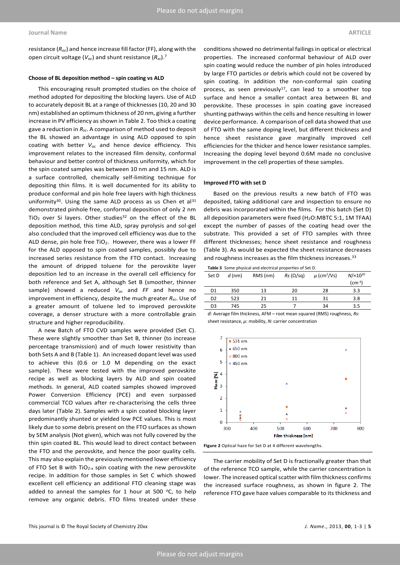resistance (*Roc*) and hence increase fill factor (FF), along with the open circuit voltage (*Voc*) and shunt resistance (*Rsc*). 7

#### **Choose of BL deposition method – spin coating vs ALD**

This encouraging result prompted studies on the choice of method adopted for depositing the blocking layers. Use of ALD to accurately deposit BL at a range of thicknesses (10, 20 and 30 nm) established an optimum thickness of 20 nm, giving a further increase in PV efficiency as shown in Table 2. Too thick a coating gave a reduction in *Rsc*. A comparison of method used to deposit the BL showed an advantage in using ALD opposed to spin coating with better *V*oc and hence device efficiency. This improvement relates to the increased film density, conformal behaviour and better control of thickness uniformity, which for the spin coated samples was between 10 nm and 15 nm. ALD is a surface controlled, chemically self-limiting technique for depositing thin films. It is well documented for its ability to produce conformal and pin hole free layers with high thickness uniformity<sup>30</sup>. Using the same ALD process as us Chen et al<sup>31</sup> demonstrated pinhole free, conformal deposition of only 2 nm  $TiO<sub>2</sub>$  over Si layers. Other studies<sup>32</sup> on the effect of the BL deposition method, this time ALD, spray pyrolysis and sol-gel also concluded that the improved cell efficiency was due to the ALD dense, pin hole free  $TiO<sub>2</sub>$ . However, there was a lower FF for the ALD opposed to spin coated samples, possibly due to increased series resistance from the FTO contact. Increasing the amount of dripped toluene for the perovskite layer deposition led to an increase in the overall cell efficiency for both reference and Set A, although Set B (smoother, thinner sample) showed a reduced *Voc* and *FF* and hence no improvement in efficiency, despite the much greater *Rsc*. Use of a greater amount of toluene led to improved perovskite coverage, a denser structure with a more controllable grain structure and higher reproducibility.

A new Batch of FTO CVD samples were provided (Set C). These were slightly smoother than Set B, thinner (to increase percentage transmission) and of much lower resistivity than both Sets A and B (Table 1). An increased dopant level was used to achieve this (0.6 or 1.0 M depending on the exact sample). These were tested with the improved perovskite recipe as well as blocking layers by ALD and spin coated methods. In general, ALD coated samples showed improved Power Conversion Efficiency (PCE) and even surpassed commercial TCO values after re-characterising the cells three days later (Table 2). Samples with a spin coated blocking layer predominantly shunted or yielded low PCE values. This is most likely due to some debris present on the FTO surfaces as shown by SEM analysis (Not given), which was not fully covered by the thin spin coated BL. This would lead to direct contact between the FTO and the perovskite, and hence the poor quality cells. This may also explain the previously mentioned lower efficiency of FTO Set B with TiO<sub>2-x</sub> spin coating with the new perovskite recipe. In addition for those samples in Set C which showed excellent cell efficiency an additional FTO cleaning stage was added to anneal the samples for 1 hour at 500  $^{\circ}$ C, to help remove any organic debris. FTO films treated under these

conditions showed no detrimental failings in optical or electrical properties. The increased conformal behaviour of ALD over spin coating would reduce the number of pin holes introduced by large FTO particles or debris which could not be covered by spin coating. In addition the non-conformal spin coating process, as seen previously<sup>17</sup>, can lead to a smoother top surface and hence a smaller contact area between BL and perovskite. These processes in spin coating gave increased shunting pathways within the cells and hence resulting in lower device performance. A comparison of cell data showed that use of FTO with the same doping level, but different thickness and hence sheet resistance gave marginally improved cell efficiencies for the thicker and hence lower resistance samples. Increasing the doping level beyond 0.6M made no conclusive improvement in the cell properties of these samples.

#### **Improved FTO with set D**

Based on the previous results a new batch of FTO was deposited, taking additional care and inspection to ensure no debris was incorporated within the films. For this batch (Set D) all deposition parameters were fixed ( $H<sub>2</sub>O$ :MBTC 5:1, 1M TFAA) except the number of passes of the coating head over the substrate. This provided a set of FTO samples with three different thicknesses; hence sheet resistance and roughness (Table 3). As would be expected the sheet resistance decreases and roughness increases as the film thickness increases. 33

**Table 3** Some physical and electrical properties of Set D.

| Set D          | $d$ (nm) | RMS (nm) | $Rs$ ( $\Omega$ /sg) | $\mu$ (cm <sup>2</sup> /Vs) | $N / \times 10^{20}$   |
|----------------|----------|----------|----------------------|-----------------------------|------------------------|
|                |          |          |                      |                             | $\text{(cm}^3\text{)}$ |
| D1             | 350      | 13       | 20                   | 28                          | 3.3                    |
| D <sub>2</sub> | 523      | 21       | 11                   | 31                          | 3.8                    |
| D3             | 745      | 25       |                      | 34                          | 3.5                    |

*d*: Average film thickness, AFM – root mean squared (RMS) roughness, *Rs*: sheet resistance, *µ*: mobility, *N*: carrier concentration



**Figure 2** Optical haze for Set D at 4 different wavelengths.

The carrier mobility of Set D is fractionally greater than that of the reference TCO sample, while the carrier concentration is lower. The increased optical scatter with film thickness confirms the increased surface roughness, as shown in figure 2. The reference FTO gave haze values comparable to its thickness and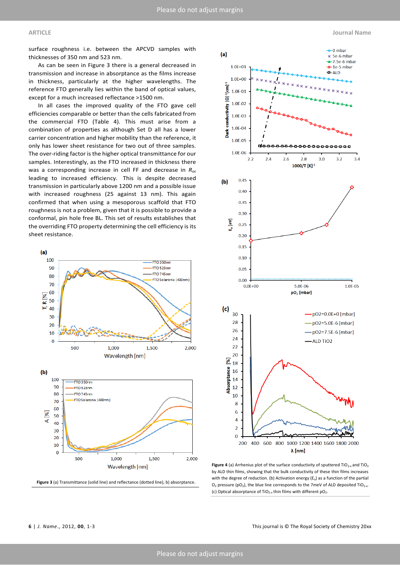surface roughness i.e. between the APCVD samples with thicknesses of 350 nm and 523 nm.

As can be seen in Figure 3 there is a general decreased in transmission and increase in absorptance as the films increase in thickness, particularly at the higher wavelengths. The reference FTO generally lies within the band of optical values, except for a much increased reflectance >1500 nm.

In all cases the improved quality of the FTO gave cell efficiencies comparable or better than the cells fabricated from the commercial FTO (Table 4). This must arise from a combination of properties as although Set D all has a lower carrier concentration and higher mobility than the reference, it only has lower sheet resistance for two out of three samples. The over-riding factor is the higher optical transmittance for our samples. Interestingly, as the FTO increased in thickness there was a corresponding increase in cell FF and decrease in *Roc* leading to increased efficiency. This is despite decreased transmission in particularly above 1200 nm and a possible issue with increased roughness (25 against 13 nm). This again confirmed that when using a mesoporous scaffold that FTO roughness is not a problem, given that it is possible to provide a conformal, pin hole free BL. This set of results establishes that the overriding FTO property determining the cell efficiency is its sheet resistance.



 **Figure 3** (a) Transmittance (solid line) and reflectance (dotted line), b) absorptance.



Figure 4 (a) Arrhenius plot of the surface conductivity of sputtered TiO<sub>2-x</sub> and TiO<sub>2</sub> by ALD thin films, showing that the bulk conductivity of these thin films increases with the degree of reduction. (b) Activation energy  $(E_a)$  as a function of the partial  $O_2$  pressure (p $O_2$ ), the blue line corresponds to the 7meV of ALD deposited TiO<sub>2-x</sub>. (c) Optical absorptance of TiO<sub>2-x</sub> thin films with different  $pO_2$ .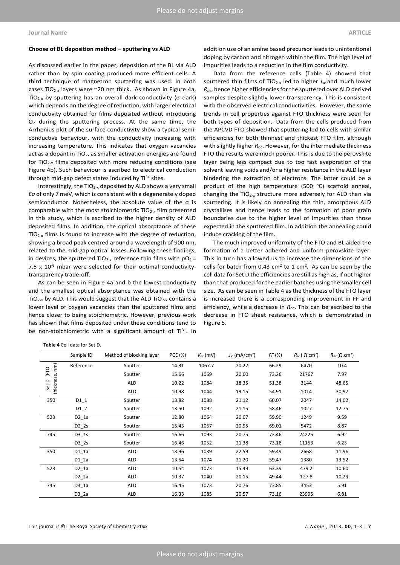#### **Journal Name ARTICLE**

### **Choose of BL deposition method – sputtering vs ALD**

As discussed earlier in the paper, deposition of the BL via ALD rather than by spin coating produced more efficient cells. A third technique of magnetron sputtering was used. In both cases TiO<sub>2-x</sub> layers were  $\sim$ 20 nm thick. As shown in Figure 4a, TiO2-x by sputtering has an overall dark conductivity (σ dark) which depends on the degree of reduction, with larger electrical conductivity obtained for films deposited without introducing  $O<sub>2</sub>$  during the sputtering process. At the same time, the Arrhenius plot of the surface conductivity show a typical semiconductive behaviour, with the conductivity increasing with increasing temperature. This indicates that oxygen vacancies act as a dopant in TiO<sub>2</sub>, as smaller activation energies are found for  $TiO<sub>2-x</sub>$  films deposited with more reducing conditions (see Figure 4b). Such behaviour is ascribed to electrical conduction through mid-gap defect states induced by  $Ti^{3+}$  sites.

Interestingly, the TiO2-x deposited by ALD shows a very small *Ea* of only 7 meV, which is consistent with a degenerately doped semiconductor. Nonetheless, the absolute value of the σ is comparable with the most stoichiometric  $TiO_{2-x}$  film presented in this study, which is ascribed to the higher density of ALD deposited films. In addition, the optical absorptance of these  $TiO<sub>2-x</sub>$  films is found to increase with the degree of reduction, showing a broad peak centred around a wavelength of 900 nm, related to the mid-gap optical losses. Following these findings, in devices, the sputtered TiO<sub>2-x</sub> reference thin films with  $pO<sub>2</sub>$  = 7.5  $\times$  10<sup>-6</sup> mbar were selected for their optimal conductivitytransparency trade-off.

As can be seen in Figure 4a and b the lowest conductivity and the smallest optical absorptance was obtained with the  $TiO_{2-x}$  by ALD. This would suggest that the ALD TiO<sub>2-x</sub> contains a lower level of oxygen vacancies than the sputtered films and hence closer to being stoichiometric. However, previous work has shown that films deposited under these conditions tend to be non-stoichiometric with a significant amount of Ti<sup>3+</sup>. In

addition use of an amine based precursor leads to unintentional doping by carbon and nitrogen within the film. The high level of impurities leads to a reduction in the film conductivity.

Data from the reference cells (Table 4) showed that sputtered thin films of TiO2-x led to higher *Jsc* and much lower *Roc*, hence higher efficiencies for the sputtered over ALD derived samples despite slightly lower transparency. This is consistent with the observed electrical conductivities. However, the same trends in cell properties against FTO thickness were seen for both types of deposition. Data from the cells produced from the APCVD FTO showed that sputtering led to cells with similar efficiencies for both thinnest and thickest FTO film, although with slightly higher *Roc*. However, for the intermediate thickness FTO the results were much poorer. This is due to the perovskite layer being less compact due to too fast evaporation of the solvent leaving voids and/or a higher resistance in the ALD layer hindering the extraction of electrons. The latter could be a product of the high temperature (500 $\degree$ C) scaffold anneal, changing the TiO<sub>2-x</sub> structure more adversely for ALD than via sputtering. It is likely on annealing the thin, amorphous ALD crystallises and hence leads to the formation of poor grain boundaries due to the higher level of impurities than those expected in the sputtered film. In addition the annealing could induce cracking of the film.

The much improved uniformity of the FTO and BL aided the formation of a better adhered and uniform perovskite layer. This in turn has allowed us to increase the dimensions of the cells for batch from  $0.43 \text{ cm}^2$  to 1 cm<sup>2</sup>. As can be seen by the cell data for Set D the efficiencies are still as high as, if not higher than that produced for the earlier batches using the smaller cell size. As can be seen in Table 4 as the thickness of the FTO layer is increased there is a corresponding improvement in FF and efficiency, while a decrease in *Roc*. This can be ascribed to the decrease in FTO sheet resistance, which is demonstrated in Figure 5.

| <b>Table 4</b> Cell data for Set D. |
|-------------------------------------|
|-------------------------------------|

|                        | Sample ID | Method of blocking layer | PCE (%) | $V_{oc}$ (mV) | $J_{sc}$ (mA/cm <sup>2</sup> ) | FF (%) | $R_{sc}$ ( $\Omega.cm^2$ ) | $R_{oc}(\Omega.cm^2)$ |
|------------------------|-----------|--------------------------|---------|---------------|--------------------------------|--------|----------------------------|-----------------------|
|                        | Reference | Sputter                  | 14.31   | 1067.7        | 20.22                          | 66.29  | 6470                       | 10.4                  |
| thickness, nm)<br>(FTO |           | Sputter                  | 15.66   | 1069          | 20.00                          | 73.26  | 21767                      | 7.97                  |
| Set D                  |           | ALD                      | 10.22   | 1084          | 18.35                          | 51.38  | 3144                       | 48.65                 |
|                        |           | ALD                      | 10.98   | 1044          | 19.15                          | 54.91  | 1014                       | 30.97                 |
| 350                    | $D1_1$    | Sputter                  | 13.82   | 1088          | 21.12                          | 60.07  | 2047                       | 14.02                 |
|                        | $D1_2$    | Sputter                  | 13.50   | 1092          | 21.15                          | 58.46  | 1027                       | 12.75                 |
| 523                    | $D2_1s$   | Sputter                  | 12.80   | 1064          | 20.07                          | 59.90  | 1249                       | 9.59                  |
|                        | $D2_2s$   | Sputter                  | 15.43   | 1067          | 20.95                          | 69.01  | 5472                       | 8.87                  |
| 745                    | $D3_1s$   | Sputter                  | 16.66   | 1093          | 20.75                          | 73.46  | 24225                      | 6.92                  |
|                        | $D3_2s$   | Sputter                  | 16.46   | 1052          | 21.38                          | 73.18  | 11153                      | 6.23                  |
| 350                    | $D1_1a$   | ALD                      | 13.96   | 1039          | 22.59                          | 59.49  | 2668                       | 11.96                 |
|                        | D1 2a     | ALD                      | 13.54   | 1074          | 21.20                          | 59.47  | 1380                       | 13.52                 |
| 523                    | D2 1a     | ALD                      | 10.54   | 1073          | 15.49                          | 63.39  | 479.2                      | 10.60                 |
|                        | $D2_2a$   | ALD                      | 10.37   | 1040          | 20.15                          | 49.44  | 127.8                      | 10.29                 |
| 745                    | $D3_1a$   | ALD                      | 16.45   | 1073          | 20.76                          | 73.85  | 3453                       | 5.91                  |
|                        | D3 2a     | ALD                      | 16.33   | 1085          | 20.57                          | 73.16  | 23995                      | 6.81                  |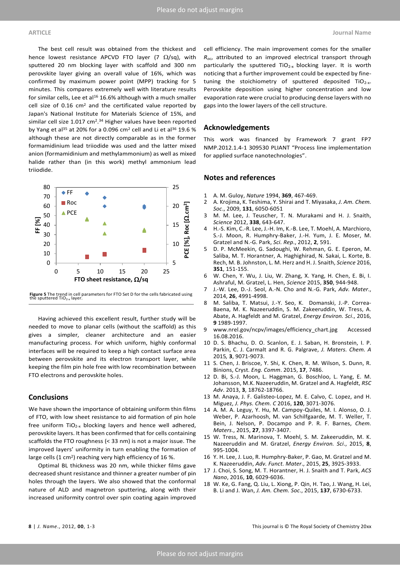The best cell result was obtained from the thickest and hence lowest resistance APCVD FTO layer (7  $\Omega$ /sq), with sputtered 20 nm blocking layer with scaffold and 300 nm perovskite layer giving an overall value of 16%, which was confirmed by maximum power point (MPP) tracking for 5 minutes. This compares extremely well with literature results for similar cells, Lee et al $16.6\%$  although with a much smaller cell size of  $0.16$  cm<sup>2</sup> and the certificated value reported by Japan's National Institute for Materials Science of 15%, and similar cell size 1.017 cm<sup>2</sup>.<sup>34</sup> Higher values have been reported by Yang et al<sup>35</sup> at 20% for a 0.096 cm<sup>2</sup> cell and Li et al<sup>36</sup> 19.6 % although these are not directly comparable as in the former formamidinium lead triiodide was used and the latter mixed anion (formamidinium and methylammonium) as well as mixed halide rather than (in this work) methyl ammonium lead triiodide.



**Figure 5** The trend in cell parameters for FTO Set D for the cells fabricated using<br>the sputtered TiO<sub>2-x</sub> layer.

Having achieved this excellent result, further study will be needed to move to planar cells (without the scaffold) as this gives a simpler, cleaner architecture and an easier manufacturing process. For which uniform, highly conformal interfaces will be required to keep a high contact surface area between perovskite and its electron transport layer, while keeping the film pin hole free with low recombination between FTO electrons and perovskite holes.

#### **Conclusions**

We have shown the importance of obtaining uniform thin films of FTO, with low sheet resistance to aid formation of pin hole free uniform  $TiO<sub>2-x</sub>$  blocking layers and hence well adhered, perovskite layers. It has been confirmed that for cells containing scaffolds the FTO roughness (< 33 nm) is not a major issue. The improved layers' uniformity in turn enabling the formation of large cells (1 cm<sup>2</sup>) reaching very high efficiency of 16 %.

Optimal BL thickness was 20 nm, while thicker films gave decreased shunt resistance and thinner a greater number of pin holes through the layers. We also showed that the conformal nature of ALD and magnetron sputtering, along with their increased uniformity control over spin coating again improved

cell efficiency. The main improvement comes for the smaller *Roc*, attributed to an improved electrical transport through particularly the sputtered  $TiO<sub>2-x</sub>$  blocking layer. It is worth noticing that a further improvement could be expected by finetuning the stoichiometry of sputtered deposited TiO<sub>2-x</sub>. Perovskite deposition using higher concentration and low evaporation rate were crucial to producing dense layers with no gaps into the lower layers of the cell structure.

#### **Acknowledgements**

This work was financed by Framework 7 grant FP7 NMP.2012.1.4-1 309530 PLIANT "Process line implementation for applied surface nanotechnologies".

#### **Notes and references**

- 1 A. M. Guloy, *Nature* 1994, **369**, 467-469.
- 2 A. Krojima, K. Teshima, Y. Shirai and T. Miyasaka, *J. Am. Chem. Soc*., 2009, **131**, 6050-6051
- 3 M. M. Lee, J. Teuscher, T. N. Murakami and H. J. Snaith, *Science* 2012, **338**, 643-647.
- 4 H.-S. Kim, C.-R. Lee, J.-H. Im, K.-B. Lee, T. Moehl, A. Marchioro, S.-J. Moon, R. Humphry-Baker, J.-H. Yum, J. E. Moser, M. Gratzel and N.-G. Park, *Sci. Rep*., 2012, **2**, 591.
- 5 D. P. McMeekin, G. Sadoughi, W. Rehman, G. E. Eperon, M. Saliba, M. T. Horantner, A. Haghighirad, N. Sakai, L. Korte, B. Rech, M. B. Johnston, L. M. Herz and H. J. Snaith, *Science* 2016, **351**, 151-155.
- 6 W. Chen, Y. Wu, J. Liu, W. Zhang, X. Yang, H. Chen, E. Bi, I. Ashraful, M. Gratzel, L. Hen, *Science* 2015, **350**, 944-948.
- 7 J.-W. Lee, D.-J. Seol, A.-N. Cho and N.-G. Park, *Adv. Mater*., 2014, **26**, 4991-4998.
- 8 M. Saliba, T. Matsui, J.-Y. Seo, K. Domanski, J.-P. Correa-Baena, M. K. Nazeeruddin, S. M. Zakeeruddin, W. Tress, A. Abate, A. Hagfeldt and M. Gratzel, *Energy Environ. Sci*., 2016, **9** 1989-1997.
- 9 [www.nrel.gov/ncpv/images/efficiency\\_chart.jpg](http://www.nrel.gov/ncpv/images/efficiency_chart.jpg) Accessed 16.08.2016.
- 10 D. S. Bhachu, D. O. Scanlon, E. J. Saban, H. Bronstein, I. P. Parkin, C. J. Carmalt and R. G. Palgrave, *J. Maters. Chem. A*  2015*,* **3**, 9071-9073.
- 11 S. Chen, J. Briscoe, Y. Shi, K. Chen, R. M. Wilson, S. Dunn, R. Binions, Cryst. *Eng. Comm*. 2015, **17**, 7486.
- 12 D. Bi, S.-J. Moon, L. Haggman, G. Boschloo, L. Yang, E. M. Johansson, M.K. Nazeeruddin, M. Gratzel and A. Hagfeldt, *RSC Adv*. 2013, **3**, 18762-18766.
- 13 M. Anaya, J. F. Galisteo-Lopez, M. E. Calvo, C. Lopez, and H. Miguez, *J. Phys. Chem. C* 2016, **120**, 3071-3076.
- 14 A. M. A. Leguy, Y. Hu, M. Campoy-Quiles, M. I. Alonso, O. J. Weber, P. Azarhoosh, M. van Schilfgaarde, M. T. Weller, T. Bein, J. Nelson, P. Docampo and P. R. F. Barnes, *Chem. Maters*., 2015, **27**, 3397-3407.
- 15 W. Tress, N. Marinova, T. Moehl, S. M. Zakeeruddin, M. K. Nazeeruddin and M. Gratzel, *Energy Environ. Sci*., 2015, **8**, 995-1004.
- 16 Y. H. Lee, J. Luo, R. Humphry-Baker, P. Gao, M. Gratzel and M. K. Nazeeruddin, *Adv. Funct. Mater*., 2015, **25**, 3925-3933.
- 17 J. Choi, S. Song, M. T. Horantner, H. J. Snaith and T. Park, *ACS Nano*, 2016, **10**, 6029-6036.
- 18 W. Ke, G. Fang, Q. Liu, L. Xiong, P. Qin, H. Tao, J. Wang, H. Lei, B. Li and J. Wan, *J. Am. Chem. Soc*., 2015, **137**, 6730-6733.